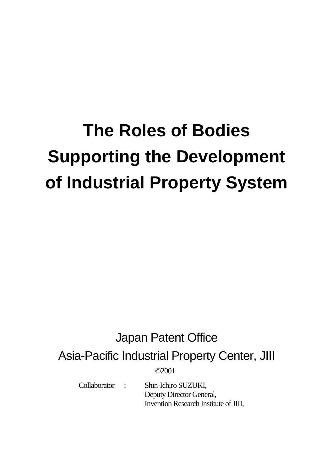# **The Roles of Bodies Supporting the Development of Industrial Property System**

## Japan Patent Office

Asia-Pacific Industrial Property Center, JIII

©2001

 Collaborator : Shin-Ichiro SUZUKI, Deputy Director General, Invention Research Institute of JIII,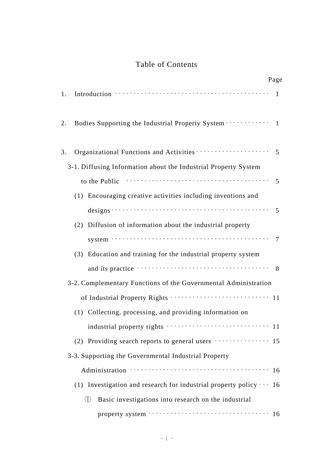### Table of Contents

|    |                                                                                                                                                                                                                                | Page         |
|----|--------------------------------------------------------------------------------------------------------------------------------------------------------------------------------------------------------------------------------|--------------|
| 1. |                                                                                                                                                                                                                                | $\mathbf{1}$ |
| 2. | Bodies Supporting the Industrial Property System · · · · · · · · · · · · · 1                                                                                                                                                   |              |
| 3. |                                                                                                                                                                                                                                |              |
|    | 3-1. Diffusing Information about the Industrial Property System                                                                                                                                                                |              |
|    | to the Public (and the Public of the Public of the Public of the Public of the Public of the Public of the Public of the Public of the Public of the Public of the Public of the Public of the Public of the Public of the Pub | 5            |
|    | (1) Encouraging creative activities including inventions and                                                                                                                                                                   |              |
|    | designs $\cdots$ $\cdots$ $\cdots$ $\cdots$ $\cdots$ $\cdots$ $\cdots$ $\cdots$ $\cdots$ $\cdots$ $\cdots$ 5                                                                                                                   |              |
|    | (2) Diffusion of information about the industrial property                                                                                                                                                                     |              |
|    |                                                                                                                                                                                                                                |              |
|    | (3) Education and training for the industrial property system                                                                                                                                                                  |              |
|    |                                                                                                                                                                                                                                | 8            |
|    | 3-2. Complementary Functions of the Governmental Administration                                                                                                                                                                |              |
|    | of Industrial Property Rights ······························· 11                                                                                                                                                               |              |
|    | (1) Collecting, processing, and providing information on                                                                                                                                                                       |              |
|    |                                                                                                                                                                                                                                |              |
|    |                                                                                                                                                                                                                                |              |
|    | 3-3. Supporting the Governmental Industrial Property                                                                                                                                                                           |              |
|    |                                                                                                                                                                                                                                |              |
|    | (1) Investigation and research for industrial property policy $\cdots$ 16                                                                                                                                                      |              |
|    | Basic investigations into research on the industrial<br>(1)                                                                                                                                                                    |              |
|    |                                                                                                                                                                                                                                |              |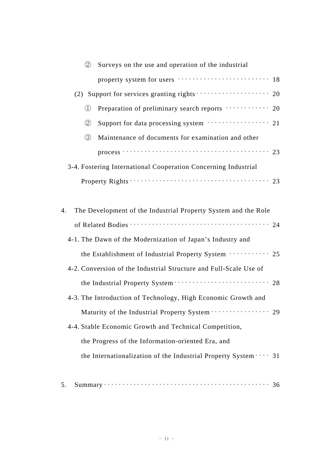| (2)                                                            | Surveys on the use and operation of the industrial                                                      |  |  |  |
|----------------------------------------------------------------|---------------------------------------------------------------------------------------------------------|--|--|--|
|                                                                |                                                                                                         |  |  |  |
|                                                                | (2) Support for services granting rights $\cdots$ $\cdots$ $\cdots$ $\cdots$ $\cdots$ 20                |  |  |  |
| $\bigcirc$                                                     | Preparation of preliminary search reports ··········· 20                                                |  |  |  |
| $\circled{2}$                                                  | Support for data processing system ················ 21                                                  |  |  |  |
| $\circled{3}$                                                  | Maintenance of documents for examination and other                                                      |  |  |  |
|                                                                | $process \cdots \cdots \cdots \cdots \cdots \cdots \cdots \cdots \cdots \cdots \cdots \cdots \cdots 23$ |  |  |  |
|                                                                | 3-4. Fostering International Cooperation Concerning Industrial                                          |  |  |  |
|                                                                |                                                                                                         |  |  |  |
|                                                                |                                                                                                         |  |  |  |
| 4.                                                             | The Development of the Industrial Property System and the Role                                          |  |  |  |
|                                                                |                                                                                                         |  |  |  |
| 4-1. The Dawn of the Modernization of Japan's Industry and     |                                                                                                         |  |  |  |
| the Establishment of Industrial Property System ··········· 25 |                                                                                                         |  |  |  |
|                                                                | 4-2. Conversion of the Industrial Structure and Full-Scale Use of                                       |  |  |  |
|                                                                |                                                                                                         |  |  |  |
|                                                                | 4-3. The Introduction of Technology, High Economic Growth and                                           |  |  |  |
|                                                                | Maturity of the Industrial Property System · · · · · · · · · · · · · · · · 29                           |  |  |  |
| 4-4. Stable Economic Growth and Technical Competition,         |                                                                                                         |  |  |  |
| the Progress of the Information-oriented Era, and              |                                                                                                         |  |  |  |
|                                                                | the Internationalization of the Industrial Property System  31                                          |  |  |  |
|                                                                |                                                                                                         |  |  |  |
|                                                                |                                                                                                         |  |  |  |

|--|--|--|--|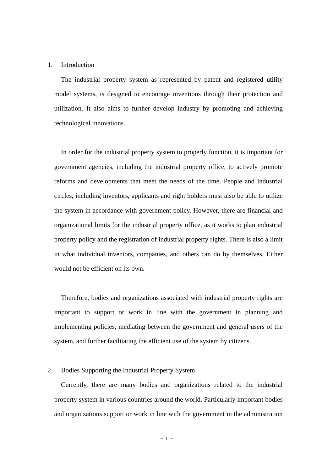#### 1. Introduction

The industrial property system as represented by patent and registered utility model systems, is designed to encourage inventions through their protection and utilization. It also aims to further develop industry by promoting and achieving technological innovations.

In order for the industrial property system to properly function, it is important for government agencies, including the industrial property office, to actively promote reforms and developments that meet the needs of the time. People and industrial circles, including inventors, applicants and right holders must also be able to utilize the system in accordance with government policy. However, there are financial and organizational limits for the industrial property office, as it works to plan industrial property policy and the registration of industrial property rights. There is also a limit in what individual inventors, companies, and others can do by themselves. Either would not be efficient on its own.

Therefore, bodies and organizations associated with industrial property rights are important to support or work in line with the government in planning and implementing policies, mediating between the government and general users of the system, and further facilitating the efficient use of the system by citizens.

#### 2. Bodies Supporting the Industrial Property System

Currently, there are many bodies and organizations related to the industrial property system in various countries around the world. Particularly important bodies and organizations support or work in line with the government in the administration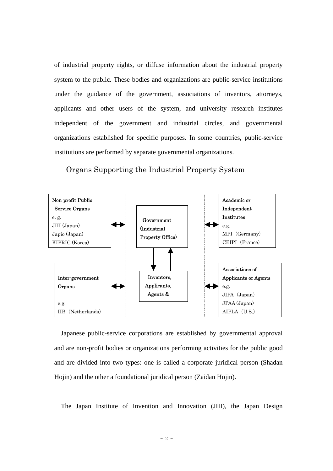of industrial property rights, or diffuse information about the industrial property system to the public. These bodies and organizations are public-service institutions under the guidance of the government, associations of inventors, attorneys, applicants and other users of the system, and university research institutes independent of the government and industrial circles, and governmental organizations established for specific purposes. In some countries, public-service institutions are performed by separate governmental organizations.

Organs Supporting the Industrial Property System



Japanese public-service corporations are established by governmental approval and are non-profit bodies or organizations performing activities for the public good and are divided into two types: one is called a corporate juridical person (Shadan Hojin) and the other a foundational juridical person (Zaidan Hojin).

The Japan Institute of Invention and Innovation (JIII), the Japan Design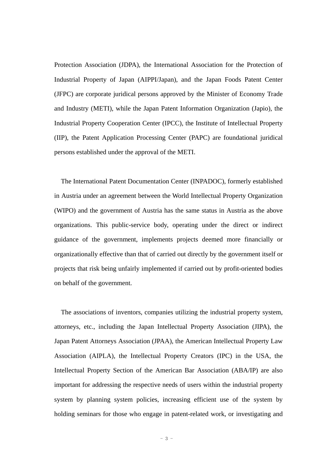Protection Association (JDPA), the International Association for the Protection of Industrial Property of Japan (AIPPI/Japan), and the Japan Foods Patent Center (JFPC) are corporate juridical persons approved by the Minister of Economy Trade and Industry (METI), while the Japan Patent Information Organization (Japio), the Industrial Property Cooperation Center (IPCC), the Institute of Intellectual Property (IIP), the Patent Application Processing Center (PAPC) are foundational juridical persons established under the approval of the METI.

The International Patent Documentation Center (INPADOC), formerly established in Austria under an agreement between the World Intellectual Property Organization (WIPO) and the government of Austria has the same status in Austria as the above organizations. This public-service body, operating under the direct or indirect guidance of the government, implements projects deemed more financially or organizationally effective than that of carried out directly by the government itself or projects that risk being unfairly implemented if carried out by profit-oriented bodies on behalf of the government.

The associations of inventors, companies utilizing the industrial property system, attorneys, etc., including the Japan Intellectual Property Association (JIPA), the Japan Patent Attorneys Association (JPAA), the American Intellectual Property Law Association (AIPLA), the Intellectual Property Creators (IPC) in the USA, the Intellectual Property Section of the American Bar Association (ABA/IP) are also important for addressing the respective needs of users within the industrial property system by planning system policies, increasing efficient use of the system by holding seminars for those who engage in patent-related work, or investigating and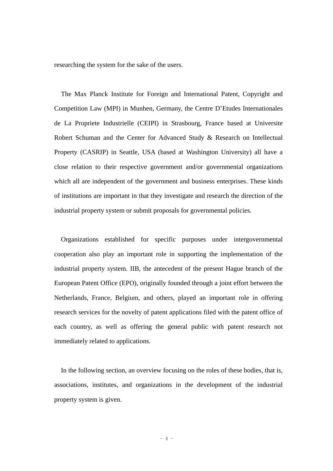researching the system for the sake of the users.

The Max Planck Institute for Foreign and International Patent, Copyright and Competition Law (MPI) in Munhen, Germany, the Centre D'Etudes Internationales de La Propriete Industrielle (CEIPI) in Strasbourg, France based at Universite Robert Schuman and the Center for Advanced Study & Research on Intellectual Property (CASRIP) in Seattle, USA (based at Washington University) all have a close relation to their respective government and/or governmental organizations which all are independent of the government and business enterprises. These kinds of institutions are important in that they investigate and research the direction of the industrial property system or submit proposals for governmental policies.

Organizations established for specific purposes under intergovernmental cooperation also play an important role in supporting the implementation of the industrial property system. IIB, the antecedent of the present Hague branch of the European Patent Office (EPO), originally founded through a joint effort between the Netherlands, France, Belgium, and others, played an important role in offering research services for the novelty of patent applications filed with the patent office of each country, as well as offering the general public with patent research not immediately related to applications.

In the following section, an overview focusing on the roles of these bodies, that is, associations, institutes, and organizations in the development of the industrial property system is given.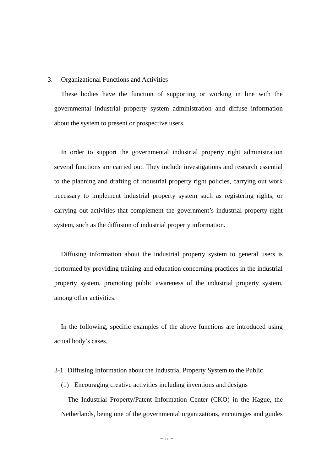#### 3. Organizational Functions and Activities

These bodies have the function of supporting or working in line with the governmental industrial property system administration and diffuse information about the system to present or prospective users.

In order to support the governmental industrial property right administration several functions are carried out. They include investigations and research essential to the planning and drafting of industrial property right policies, carrying out work necessary to implement industrial property system such as registering rights, or carrying out activities that complement the government's industrial property right system, such as the diffusion of industrial property information.

Diffusing information about the industrial property system to general users is performed by providing training and education concerning practices in the industrial property system, promoting public awareness of the industrial property system, among other activities.

In the following, specific examples of the above functions are introduced using actual body's cases.

#### 3-1. Diffusing Information about the Industrial Property System to the Public

(1) Encouraging creative activities including inventions and designs

The Industrial Property/Patent Information Center (CKO) in the Hague, the Netherlands, being one of the governmental organizations, encourages and guides

 $-5 -$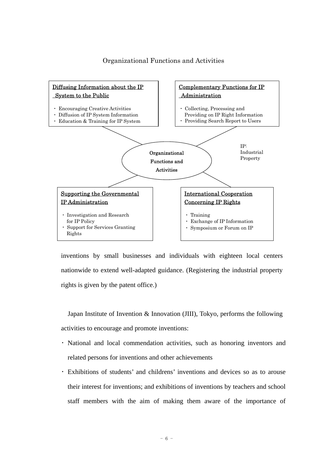#### Organizational Functions and Activities



inventions by small businesses and individuals with eighteen local centers nationwide to extend well-adapted guidance. (Registering the industrial property rights is given by the patent office.)

Japan Institute of Invention & Innovation (JIII), Tokyo, performs the following activities to encourage and promote inventions:

- ・ National and local commendation activities, such as honoring inventors and related persons for inventions and other achievements
- ・ Exhibitions of students' and childrens' inventions and devices so as to arouse their interest for inventions; and exhibitions of inventions by teachers and school staff members with the aim of making them aware of the importance of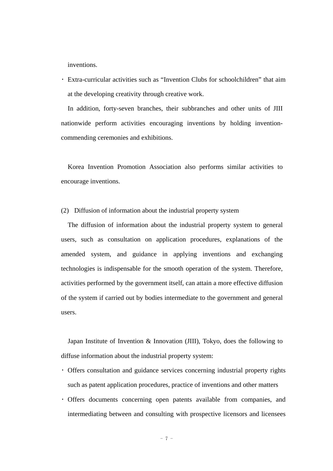inventions.

・ Extra-curricular activities such as "Invention Clubs for schoolchildren" that aim at the developing creativity through creative work.

In addition, forty-seven branches, their subbranches and other units of JIII nationwide perform activities encouraging inventions by holding inventioncommending ceremonies and exhibitions.

Korea Invention Promotion Association also performs similar activities to encourage inventions.

#### (2) Diffusion of information about the industrial property system

The diffusion of information about the industrial property system to general users, such as consultation on application procedures, explanations of the amended system, and guidance in applying inventions and exchanging technologies is indispensable for the smooth operation of the system. Therefore, activities performed by the government itself, can attain a more effective diffusion of the system if carried out by bodies intermediate to the government and general users.

Japan Institute of Invention & Innovation (JIII), Tokyo, does the following to diffuse information about the industrial property system:

- ・ Offers consultation and guidance services concerning industrial property rights such as patent application procedures, practice of inventions and other matters
- ・ Offers documents concerning open patents available from companies, and intermediating between and consulting with prospective licensors and licensees

 $- 7 -$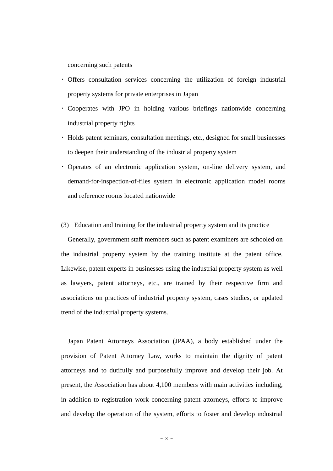concerning such patents

- ・ Offers consultation services concerning the utilization of foreign industrial property systems for private enterprises in Japan
- ・ Cooperates with JPO in holding various briefings nationwide concerning industrial property rights
- ・ Holds patent seminars, consultation meetings, etc., designed for small businesses to deepen their understanding of the industrial property system
- ・ Operates of an electronic application system, on-line delivery system, and demand-for-inspection-of-files system in electronic application model rooms and reference rooms located nationwide
- (3) Education and training for the industrial property system and its practice

Generally, government staff members such as patent examiners are schooled on the industrial property system by the training institute at the patent office. Likewise, patent experts in businesses using the industrial property system as well as lawyers, patent attorneys, etc., are trained by their respective firm and associations on practices of industrial property system, cases studies, or updated trend of the industrial property systems.

Japan Patent Attorneys Association (JPAA), a body established under the provision of Patent Attorney Law, works to maintain the dignity of patent attorneys and to dutifully and purposefully improve and develop their job. At present, the Association has about 4,100 members with main activities including, in addition to registration work concerning patent attorneys, efforts to improve and develop the operation of the system, efforts to foster and develop industrial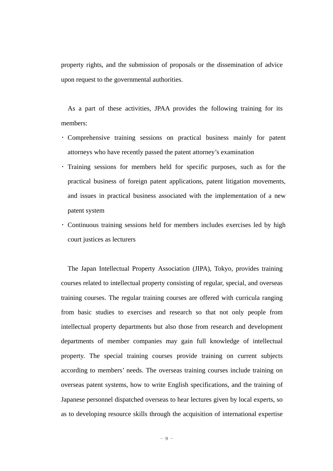property rights, and the submission of proposals or the dissemination of advice upon request to the governmental authorities.

As a part of these activities, JPAA provides the following training for its members:

- ・ Comprehensive training sessions on practical business mainly for patent attorneys who have recently passed the patent attorney's examination
- ・ Training sessions for members held for specific purposes, such as for the practical business of foreign patent applications, patent litigation movements, and issues in practical business associated with the implementation of a new patent system
- ・ Continuous training sessions held for members includes exercises led by high court justices as lecturers

The Japan Intellectual Property Association (JIPA), Tokyo, provides training courses related to intellectual property consisting of regular, special, and overseas training courses. The regular training courses are offered with curricula ranging from basic studies to exercises and research so that not only people from intellectual property departments but also those from research and development departments of member companies may gain full knowledge of intellectual property. The special training courses provide training on current subjects according to members' needs. The overseas training courses include training on overseas patent systems, how to write English specifications, and the training of Japanese personnel dispatched overseas to hear lectures given by local experts, so as to developing resource skills through the acquisition of international expertise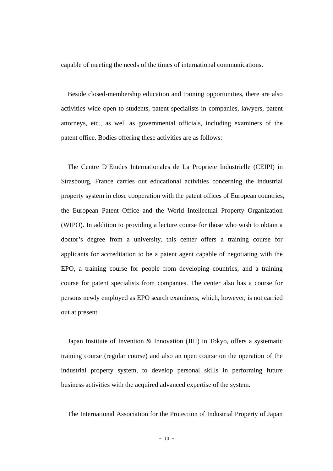capable of meeting the needs of the times of international communications.

Beside closed-membership education and training opportunities, there are also activities wide open to students, patent specialists in companies, lawyers, patent attorneys, etc., as well as governmental officials, including examiners of the patent office. Bodies offering these activities are as follows:

The Centre D'Etudes Internationales de La Propriete Industrielle (CEIPI) in Strasbourg, France carries out educational activities concerning the industrial property system in close cooperation with the patent offices of European countries, the European Patent Office and the World Intellectual Property Organization (WIPO). In addition to providing a lecture course for those who wish to obtain a doctor's degree from a university, this center offers a training course for applicants for accreditation to be a patent agent capable of negotiating with the EPO, a training course for people from developing countries, and a training course for patent specialists from companies. The center also has a course for persons newly employed as EPO search examiners, which, however, is not carried out at present.

Japan Institute of Invention & Innovation (JIII) in Tokyo, offers a systematic training course (regular course) and also an open course on the operation of the industrial property system, to develop personal skills in performing future business activities with the acquired advanced expertise of the system.

The International Association for the Protection of Industrial Property of Japan

 $- 10 -$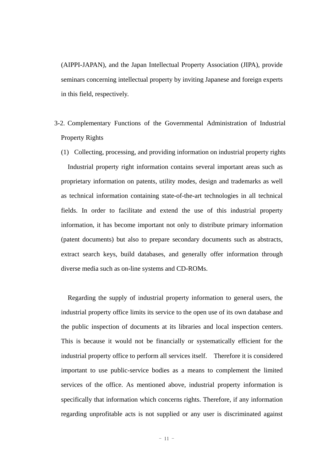(AIPPI-JAPAN), and the Japan Intellectual Property Association (JIPA), provide seminars concerning intellectual property by inviting Japanese and foreign experts in this field, respectively.

- 3-2. Complementary Functions of the Governmental Administration of Industrial Property Rights
	- (1) Collecting, processing, and providing information on industrial property rights Industrial property right information contains several important areas such as proprietary information on patents, utility modes, design and trademarks as well as technical information containing state-of-the-art technologies in all technical fields. In order to facilitate and extend the use of this industrial property information, it has become important not only to distribute primary information (patent documents) but also to prepare secondary documents such as abstracts, extract search keys, build databases, and generally offer information through diverse media such as on-line systems and CD-ROMs.

Regarding the supply of industrial property information to general users, the industrial property office limits its service to the open use of its own database and the public inspection of documents at its libraries and local inspection centers. This is because it would not be financially or systematically efficient for the industrial property office to perform all services itself. Therefore it is considered important to use public-service bodies as a means to complement the limited services of the office. As mentioned above, industrial property information is specifically that information which concerns rights. Therefore, if any information regarding unprofitable acts is not supplied or any user is discriminated against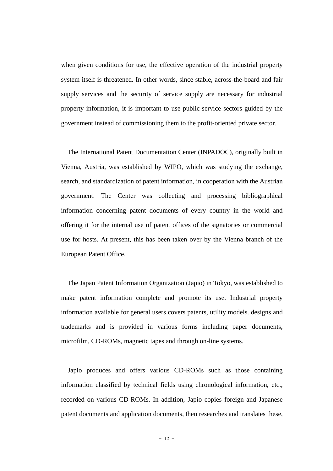when given conditions for use, the effective operation of the industrial property system itself is threatened. In other words, since stable, across-the-board and fair supply services and the security of service supply are necessary for industrial property information, it is important to use public-service sectors guided by the government instead of commissioning them to the profit-oriented private sector.

The International Patent Documentation Center (INPADOC), originally built in Vienna, Austria, was established by WIPO, which was studying the exchange, search, and standardization of patent information, in cooperation with the Austrian government. The Center was collecting and processing bibliographical information concerning patent documents of every country in the world and offering it for the internal use of patent offices of the signatories or commercial use for hosts. At present, this has been taken over by the Vienna branch of the European Patent Office.

The Japan Patent Information Organization (Japio) in Tokyo, was established to make patent information complete and promote its use. Industrial property information available for general users covers patents, utility models. designs and trademarks and is provided in various forms including paper documents, microfilm, CD-ROMs, magnetic tapes and through on-line systems.

Japio produces and offers various CD-ROMs such as those containing information classified by technical fields using chronological information, etc., recorded on various CD-ROMs. In addition, Japio copies foreign and Japanese patent documents and application documents, then researches and translates these,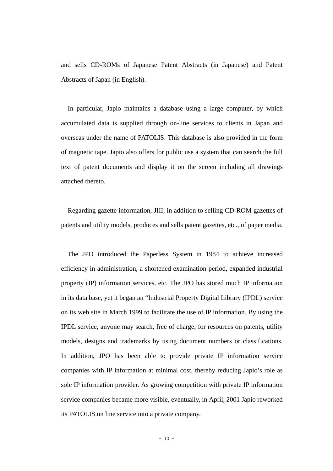and sells CD-ROMs of Japanese Patent Abstracts (in Japanese) and Patent Abstracts of Japan (in English).

In particular, Japio maintains a database using a large computer, by which accumulated data is supplied through on-line services to clients in Japan and overseas under the name of PATOLIS. This database is also provided in the form of magnetic tape. Japio also offers for public use a system that can search the full text of patent documents and display it on the screen including all drawings attached thereto.

Regarding gazette information, JIII, in addition to selling CD-ROM gazettes of patents and utility models, produces and sells patent gazettes, etc., of paper media.

The JPO introduced the Paperless System in 1984 to achieve increased efficiency in administration, a shortened examination period, expanded industrial property (IP) information services, etc. The JPO has stored much IP information in its data base, yet it began an "Industrial Property Digital Library (IPDL) service on its web site in March 1999 to facilitate the use of IP information. By using the IPDL service, anyone may search, free of charge, for resources on patents, utility models, designs and trademarks by using document numbers or classifications. In addition, JPO has been able to provide private IP information service companies with IP information at minimal cost, thereby reducing Japio's role as sole IP information provider. As growing competition with private IP information service companies became more visible, eventually, in April, 2001 Japio reworked its PATOLIS on line service into a private company.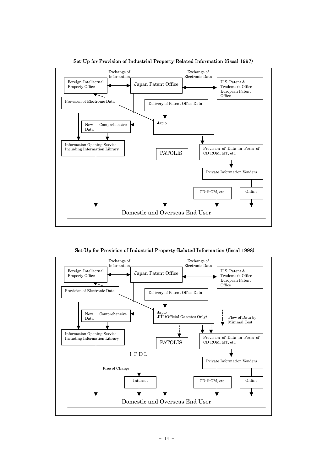

Set-Up for Provision of Industrial Property-Related Information (fiscal 1997)

Set-Up for Provision of Industrial Property-Related Information (fiscal 1998)

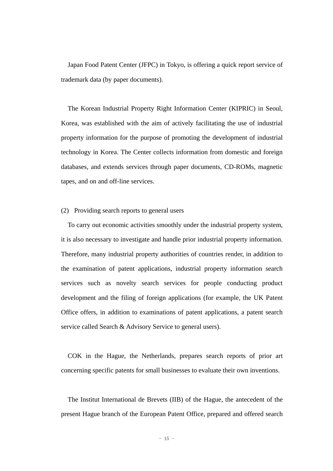Japan Food Patent Center (JFPC) in Tokyo, is offering a quick report service of trademark data (by paper documents).

The Korean Industrial Property Right Information Center (KIPRIC) in Seoul, Korea, was established with the aim of actively facilitating the use of industrial property information for the purpose of promoting the development of industrial technology in Korea. The Center collects information from domestic and foreign databases, and extends services through paper documents, CD-ROMs, magnetic tapes, and on and off-line services.

#### (2) Providing search reports to general users

To carry out economic activities smoothly under the industrial property system, it is also necessary to investigate and handle prior industrial property information. Therefore, many industrial property authorities of countries render, in addition to the examination of patent applications, industrial property information search services such as novelty search services for people conducting product development and the filing of foreign applications (for example, the UK Patent Office offers, in addition to examinations of patent applications, a patent search service called Search & Advisory Service to general users).

COK in the Hague, the Netherlands, prepares search reports of prior art concerning specific patents for small businesses to evaluate their own inventions.

The Institut International de Brevets (IIB) of the Hague, the antecedent of the present Hague branch of the European Patent Office, prepared and offered search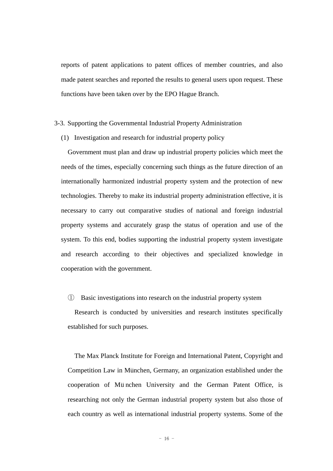reports of patent applications to patent offices of member countries, and also made patent searches and reported the results to general users upon request. These functions have been taken over by the EPO Hague Branch.

#### 3-3. Supporting the Governmental Industrial Property Administration

(1) Investigation and research for industrial property policy

Government must plan and draw up industrial property policies which meet the needs of the times, especially concerning such things as the future direction of an internationally harmonized industrial property system and the protection of new technologies. Thereby to make its industrial property administration effective, it is necessary to carry out comparative studies of national and foreign industrial property systems and accurately grasp the status of operation and use of the system. To this end, bodies supporting the industrial property system investigate and research according to their objectives and specialized knowledge in cooperation with the government.

#### ① Basic investigations into research on the industrial property system

Research is conducted by universities and research institutes specifically established for such purposes.

The Max Planck Institute for Foreign and International Patent, Copyright and Competition Law in München, Germany, an organization established under the cooperation of München University and the German Patent Office, is researching not only the German industrial property system but also those of each country as well as international industrial property systems. Some of the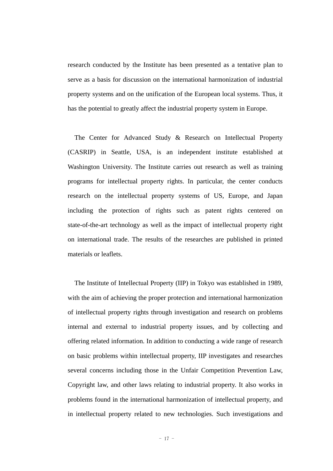research conducted by the Institute has been presented as a tentative plan to serve as a basis for discussion on the international harmonization of industrial property systems and on the unification of the European local systems. Thus, it has the potential to greatly affect the industrial property system in Europe.

The Center for Advanced Study & Research on Intellectual Property (CASRIP) in Seattle, USA, is an independent institute established at Washington University. The Institute carries out research as well as training programs for intellectual property rights. In particular, the center conducts research on the intellectual property systems of US, Europe, and Japan including the protection of rights such as patent rights centered on state-of-the-art technology as well as the impact of intellectual property right on international trade. The results of the researches are published in printed materials or leaflets.

The Institute of Intellectual Property (IIP) in Tokyo was established in 1989, with the aim of achieving the proper protection and international harmonization of intellectual property rights through investigation and research on problems internal and external to industrial property issues, and by collecting and offering related information. In addition to conducting a wide range of research on basic problems within intellectual property, IIP investigates and researches several concerns including those in the Unfair Competition Prevention Law, Copyright law, and other laws relating to industrial property. It also works in problems found in the international harmonization of intellectual property, and in intellectual property related to new technologies. Such investigations and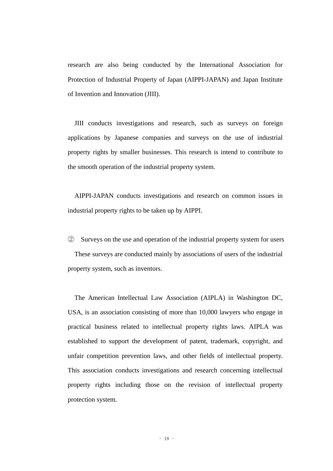research are also being conducted by the International Association for Protection of Industrial Property of Japan (AIPPI-JAPAN) and Japan Institute of Invention and Innovation (JIII).

JIII conducts investigations and research, such as surveys on foreign applications by Japanese companies and surveys on the use of industrial property rights by smaller businesses. This research is intend to contribute to the smooth operation of the industrial property system.

AIPPI-JAPAN conducts investigations and research on common issues in industrial property rights to be taken up by AIPPI.

② Surveys on the use and operation of the industrial property system for users These surveys are conducted mainly by associations of users of the industrial property system, such as inventors.

The American Intellectual Law Association (AIPLA) in Washington DC, USA, is an association consisting of more than 10,000 lawyers who engage in practical business related to intellectual property rights laws. AIPLA was established to support the development of patent, trademark, copyright, and unfair competition prevention laws, and other fields of intellectual property. This association conducts investigations and research concerning intellectual property rights including those on the revision of intellectual property protection system.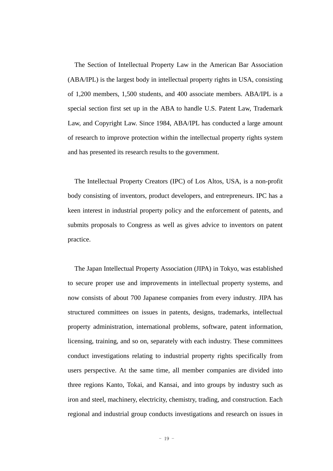The Section of Intellectual Property Law in the American Bar Association (ABA/IPL) is the largest body in intellectual property rights in USA, consisting of 1,200 members, 1,500 students, and 400 associate members. ABA/IPL is a special section first set up in the ABA to handle U.S. Patent Law, Trademark Law, and Copyright Law. Since 1984, ABA/IPL has conducted a large amount of research to improve protection within the intellectual property rights system and has presented its research results to the government.

The Intellectual Property Creators (IPC) of Los Altos, USA, is a non-profit body consisting of inventors, product developers, and entrepreneurs. IPC has a keen interest in industrial property policy and the enforcement of patents, and submits proposals to Congress as well as gives advice to inventors on patent practice.

The Japan Intellectual Property Association (JIPA) in Tokyo, was established to secure proper use and improvements in intellectual property systems, and now consists of about 700 Japanese companies from every industry. JIPA has structured committees on issues in patents, designs, trademarks, intellectual property administration, international problems, software, patent information, licensing, training, and so on, separately with each industry. These committees conduct investigations relating to industrial property rights specifically from users perspective. At the same time, all member companies are divided into three regions Kanto, Tokai, and Kansai, and into groups by industry such as iron and steel, machinery, electricity, chemistry, trading, and construction. Each regional and industrial group conducts investigations and research on issues in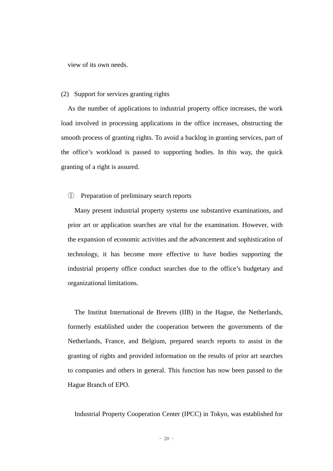view of its own needs.

#### (2) Support for services granting rights

As the number of applications to industrial property office increases, the work load involved in processing applications in the office increases, obstructing the smooth process of granting rights. To avoid a backlog in granting services, part of the office's workload is passed to supporting bodies. In this way, the quick granting of a right is assured.

#### ① Preparation of preliminary search reports

Many present industrial property systems use substantive examinations, and prior art or application searches are vital for the examination. However, with the expansion of economic activities and the advancement and sophistication of technology, it has become more effective to have bodies supporting the industrial property office conduct searches due to the office's budgetary and organizational limitations.

The Institut International de Brevets (IIB) in the Hague, the Netherlands, formerly established under the cooperation between the governments of the Netherlands, France, and Belgium, prepared search reports to assist in the granting of rights and provided information on the results of prior art searches to companies and others in general. This function has now been passed to the Hague Branch of EPO.

Industrial Property Cooperation Center (IPCC) in Tokyo, was established for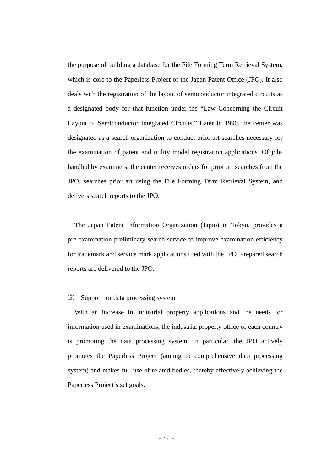the purpose of building a database for the File Forming Term Retrieval System, which is core to the Paperless Project of the Japan Patent Office (JPO). It also deals with the registration of the layout of semiconductor integrated circuits as a designated body for that function under the "Law Concerning the Circuit Layout of Semiconductor Integrated Circuits." Later in 1990, the center was designated as a search organization to conduct prior art searches necessary for the examination of patent and utility model registration applications. Of jobs handled by examiners, the center receives orders for prior art searches from the JPO, searches prior art using the File Forming Term Retrieval System, and delivers search reports to the JPO.

The Japan Patent Information Organization (Japio) in Tokyo, provides a pre-examination preliminary search service to improve examination efficiency for trademark and service mark applications filed with the JPO. Prepared search reports are delivered to the JPO.

#### ② Support for data processing system

With an increase in industrial property applications and the needs for information used in examinations, the industrial property office of each country is promoting the data processing system. In particular, the JPO actively promotes the Paperless Project (aiming to comprehensive data processing system) and makes full use of related bodies, thereby effectively achieving the Paperless Project's set goals.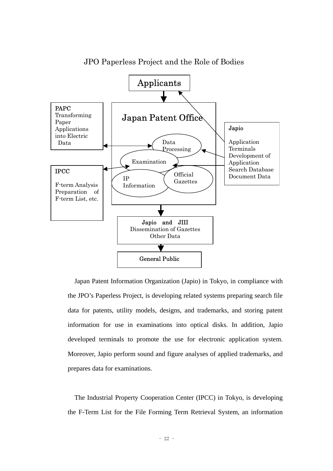

JPO Paperless Project and the Role of Bodies

Japan Patent Information Organization (Japio) in Tokyo, in compliance with the JPO's Paperless Project, is developing related systems preparing search file data for patents, utility models, designs, and trademarks, and storing patent information for use in examinations into optical disks. In addition, Japio developed terminals to promote the use for electronic application system. Moreover, Japio perform sound and figure analyses of applied trademarks, and prepares data for examinations.

The Industrial Property Cooperation Center (IPCC) in Tokyo, is developing the F-Term List for the File Forming Term Retrieval System, an information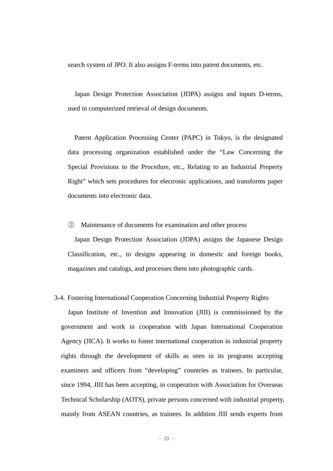search system of JPO. It also assigns F-terms into patent documents, etc.

Japan Design Protection Association (JDPA) assigns and inputs D-terms, used in computerized retrieval of design documents.

Patent Application Processing Center (PAPC) in Tokyo, is the designated data processing organization established under the "Law Concerning the Special Provisions to the Procedure, etc., Relating to an Industrial Property Right" which sets procedures for electronic applications, and transforms paper documents into electronic data.

③ Maintenance of documents for examination and other process

Japan Design Protection Association (JDPA) assigns the Japanese Design Classification, etc., to designs appearing in domestic and foreign books, magazines and catalogs, and processes them into photographic cards.

#### 3-4. Fostering International Cooperation Concerning Industrial Property Rights

Japan Institute of Invention and Innovation (JIII) is commissioned by the government and work in cooperation with Japan International Cooperation Agency (JICA). It works to foster international cooperation in industrial property rights through the development of skills as seen in its programs accepting examiners and officers from "developing" countries as trainees. In particular, since 1994, JIII has been accepting, in cooperation with Association for Overseas Technical Scholarship (AOTS), private persons concerned with industrial property, mainly from ASEAN countries, as trainees. In addition JIII sends experts from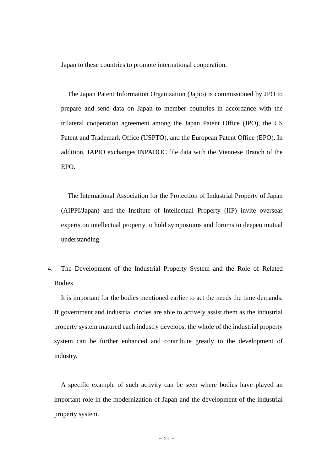Japan to these countries to promote international cooperation.

The Japan Patent Information Organization (Japio) is commissioned by JPO to prepare and send data on Japan to member countries in accordance with the trilateral cooperation agreement among the Japan Patent Office (JPO), the US Patent and Trademark Office (USPTO), and the European Patent Office (EPO). In addition, JAPIO exchanges INPADOC file data with the Viennese Branch of the EPO.

The International Association for the Protection of Industrial Property of Japan (AIPPI/Japan) and the Institute of Intellectual Property (IIP) invite overseas experts on intellectual property to hold symposiums and forums to deepen mutual understanding.

4. The Development of the Industrial Property System and the Role of Related **Bodies** 

It is important for the bodies mentioned earlier to act the needs the time demands. If government and industrial circles are able to actively assist them as the industrial property system matured each industry develops, the whole of the industrial property system can be further enhanced and contribute greatly to the development of industry.

A specific example of such activity can be seen where bodies have played an important role in the modernization of Japan and the development of the industrial property system.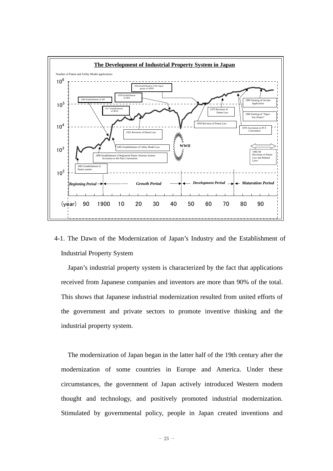

4-1. The Dawn of the Modernization of Japan's Industry and the Establishment of Industrial Property System

Japan's industrial property system is characterized by the fact that applications received from Japanese companies and inventors are more than 90% of the total. This shows that Japanese industrial modernization resulted from united efforts of the government and private sectors to promote inventive thinking and the industrial property system.

The modernization of Japan began in the latter half of the 19th century after the modernization of some countries in Europe and America. Under these circumstances, the government of Japan actively introduced Western modern thought and technology, and positively promoted industrial modernization. Stimulated by governmental policy, people in Japan created inventions and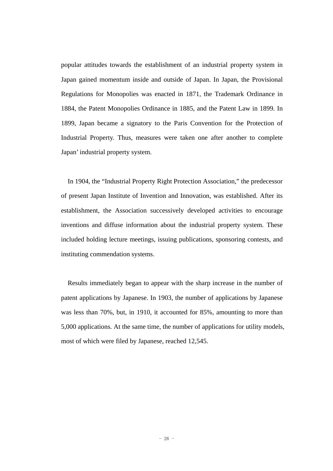popular attitudes towards the establishment of an industrial property system in Japan gained momentum inside and outside of Japan. In Japan, the Provisional Regulations for Monopolies was enacted in 1871, the Trademark Ordinance in 1884, the Patent Monopolies Ordinance in 1885, and the Patent Law in 1899. In 1899, Japan became a signatory to the Paris Convention for the Protection of Industrial Property. Thus, measures were taken one after another to complete Japan' industrial property system.

In 1904, the "Industrial Property Right Protection Association," the predecessor of present Japan Institute of Invention and Innovation, was established. After its establishment, the Association successively developed activities to encourage inventions and diffuse information about the industrial property system. These included holding lecture meetings, issuing publications, sponsoring contests, and instituting commendation systems.

Results immediately began to appear with the sharp increase in the number of patent applications by Japanese. In 1903, the number of applications by Japanese was less than 70%, but, in 1910, it accounted for 85%, amounting to more than 5,000 applications. At the same time, the number of applications for utility models, most of which were filed by Japanese, reached 12,545.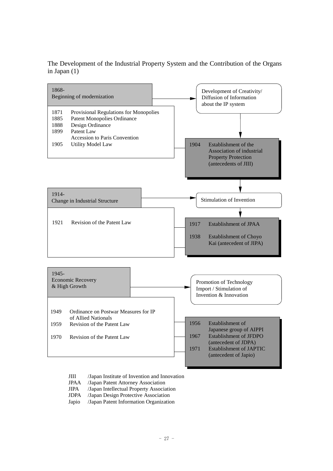The Development of the Industrial Property System and the Contribution of the Organs in Japan (1)



- JIII /Japan Institute of Invention and Innovation
- JPAA /Japan Patent Attorney Association
- JIPA /Japan Intellectual Property Association
- JDPA /Japan Design Protective Association
- Japio /Japan Patent Information Organization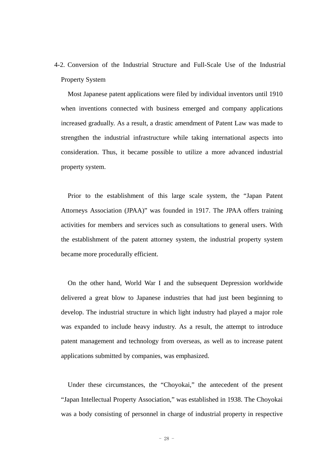4-2. Conversion of the Industrial Structure and Full-Scale Use of the Industrial Property System

Most Japanese patent applications were filed by individual inventors until 1910 when inventions connected with business emerged and company applications increased gradually. As a result, a drastic amendment of Patent Law was made to strengthen the industrial infrastructure while taking international aspects into consideration. Thus, it became possible to utilize a more advanced industrial property system.

Prior to the establishment of this large scale system, the "Japan Patent Attorneys Association (JPAA)" was founded in 1917. The JPAA offers training activities for members and services such as consultations to general users. With the establishment of the patent attorney system, the industrial property system became more procedurally efficient.

On the other hand, World War I and the subsequent Depression worldwide delivered a great blow to Japanese industries that had just been beginning to develop. The industrial structure in which light industry had played a major role was expanded to include heavy industry. As a result, the attempt to introduce patent management and technology from overseas, as well as to increase patent applications submitted by companies, was emphasized.

Under these circumstances, the "Choyokai," the antecedent of the present "Japan Intellectual Property Association," was established in 1938. The Choyokai was a body consisting of personnel in charge of industrial property in respective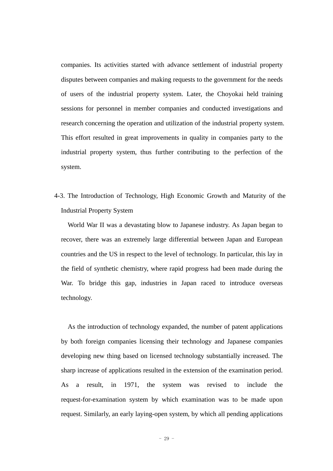companies. Its activities started with advance settlement of industrial property disputes between companies and making requests to the government for the needs of users of the industrial property system. Later, the Choyokai held training sessions for personnel in member companies and conducted investigations and research concerning the operation and utilization of the industrial property system. This effort resulted in great improvements in quality in companies party to the industrial property system, thus further contributing to the perfection of the system.

4-3. The Introduction of Technology, High Economic Growth and Maturity of the Industrial Property System

World War II was a devastating blow to Japanese industry. As Japan began to recover, there was an extremely large differential between Japan and European countries and the US in respect to the level of technology. In particular, this lay in the field of synthetic chemistry, where rapid progress had been made during the War. To bridge this gap, industries in Japan raced to introduce overseas technology.

As the introduction of technology expanded, the number of patent applications by both foreign companies licensing their technology and Japanese companies developing new thing based on licensed technology substantially increased. The sharp increase of applications resulted in the extension of the examination period. As a result, in 1971, the system was revised to include the request-for-examination system by which examination was to be made upon request. Similarly, an early laying-open system, by which all pending applications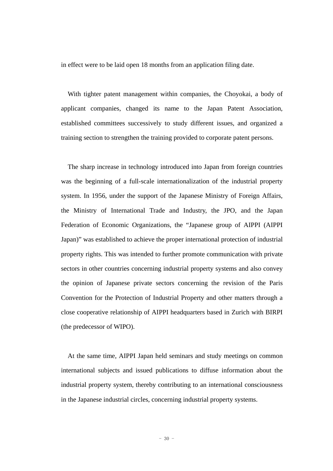in effect were to be laid open 18 months from an application filing date.

With tighter patent management within companies, the Choyokai, a body of applicant companies, changed its name to the Japan Patent Association, established committees successively to study different issues, and organized a training section to strengthen the training provided to corporate patent persons.

The sharp increase in technology introduced into Japan from foreign countries was the beginning of a full-scale internationalization of the industrial property system. In 1956, under the support of the Japanese Ministry of Foreign Affairs, the Ministry of International Trade and Industry, the JPO, and the Japan Federation of Economic Organizations, the "Japanese group of AIPPI (AIPPI Japan)" was established to achieve the proper international protection of industrial property rights. This was intended to further promote communication with private sectors in other countries concerning industrial property systems and also convey the opinion of Japanese private sectors concerning the revision of the Paris Convention for the Protection of Industrial Property and other matters through a close cooperative relationship of AIPPI headquarters based in Zurich with BIRPI (the predecessor of WIPO).

At the same time, AIPPI Japan held seminars and study meetings on common international subjects and issued publications to diffuse information about the industrial property system, thereby contributing to an international consciousness in the Japanese industrial circles, concerning industrial property systems.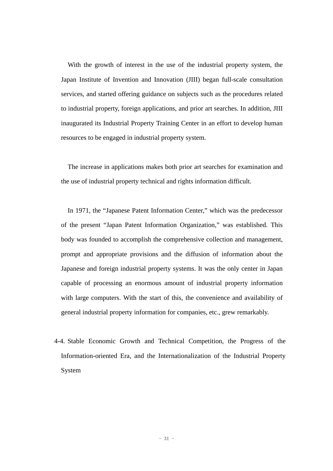With the growth of interest in the use of the industrial property system, the Japan Institute of Invention and Innovation (JIII) began full-scale consultation services, and started offering guidance on subjects such as the procedures related to industrial property, foreign applications, and prior art searches. In addition, JIII inaugurated its Industrial Property Training Center in an effort to develop human resources to be engaged in industrial property system.

The increase in applications makes both prior art searches for examination and the use of industrial property technical and rights information difficult.

In 1971, the "Japanese Patent Information Center," which was the predecessor of the present "Japan Patent Information Organization," was established. This body was founded to accomplish the comprehensive collection and management, prompt and appropriate provisions and the diffusion of information about the Japanese and foreign industrial property systems. It was the only center in Japan capable of processing an enormous amount of industrial property information with large computers. With the start of this, the convenience and availability of general industrial property information for companies, etc., grew remarkably.

4-4. Stable Economic Growth and Technical Competition, the Progress of the Information-oriented Era, and the Internationalization of the Industrial Property System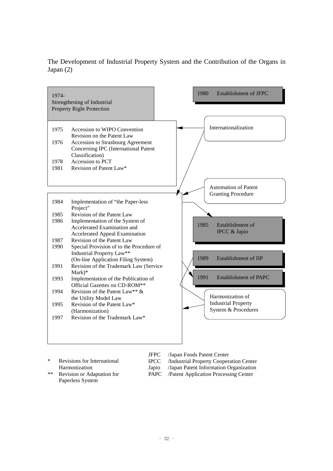



| ∗  | Revisions for International |
|----|-----------------------------|
|    | Harmonization               |
| ** | Revision or Adaptation for  |
|    | Paperless System            |

JFPC /Japan Foods Patent Center

IPCC /Industrial Property Cooperation Center

Japio /Japan Patent Information Organization

PAPC /Patent Application Processing Center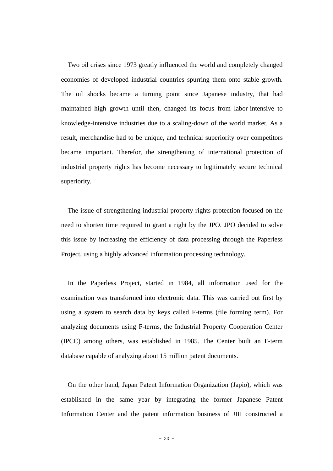Two oil crises since 1973 greatly influenced the world and completely changed economies of developed industrial countries spurring them onto stable growth. The oil shocks became a turning point since Japanese industry, that had maintained high growth until then, changed its focus from labor-intensive to knowledge-intensive industries due to a scaling-down of the world market. As a result, merchandise had to be unique, and technical superiority over competitors became important. Therefor, the strengthening of international protection of industrial property rights has become necessary to legitimately secure technical superiority.

The issue of strengthening industrial property rights protection focused on the need to shorten time required to grant a right by the JPO. JPO decided to solve this issue by increasing the efficiency of data processing through the Paperless Project, using a highly advanced information processing technology.

In the Paperless Project, started in 1984, all information used for the examination was transformed into electronic data. This was carried out first by using a system to search data by keys called F-terms (file forming term). For analyzing documents using F-terms, the Industrial Property Cooperation Center (IPCC) among others, was established in 1985. The Center built an F-term database capable of analyzing about 15 million patent documents.

On the other hand, Japan Patent Information Organization (Japio), which was established in the same year by integrating the former Japanese Patent Information Center and the patent information business of JIII constructed a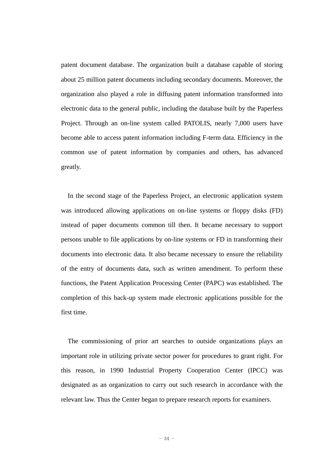patent document database. The organization built a database capable of storing about 25 million patent documents including secondary documents. Moreover, the organization also played a role in diffusing patent information transformed into electronic data to the general public, including the database built by the Paperless Project. Through an on-line system called PATOLIS, nearly 7,000 users have become able to access patent information including F-term data. Efficiency in the common use of patent information by companies and others, has advanced greatly.

In the second stage of the Paperless Project, an electronic application system was introduced allowing applications on on-line systems or floppy disks (FD) instead of paper documents common till then. It became necessary to support persons unable to file applications by on-line systems or FD in transforming their documents into electronic data. It also became necessary to ensure the reliability of the entry of documents data, such as written amendment. To perform these functions, the Patent Application Processing Center (PAPC) was established. The completion of this back-up system made electronic applications possible for the first time.

The commissioning of prior art searches to outside organizations plays an important role in utilizing private sector power for procedures to grant right. For this reason, in 1990 Industrial Property Cooperation Center (IPCC) was designated as an organization to carry out such research in accordance with the relevant law. Thus the Center began to prepare research reports for examiners.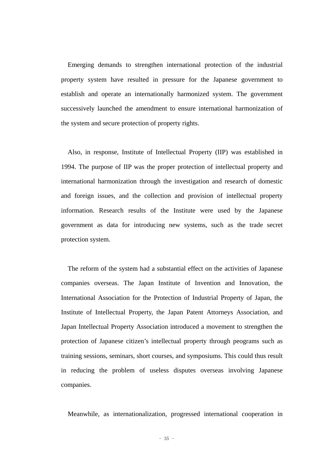Emerging demands to strengthen international protection of the industrial property system have resulted in pressure for the Japanese government to establish and operate an internationally harmonized system. The government successively launched the amendment to ensure international harmonization of the system and secure protection of property rights.

Also, in response, Institute of Intellectual Property (IIP) was established in 1994. The purpose of IIP was the proper protection of intellectual property and international harmonization through the investigation and research of domestic and foreign issues, and the collection and provision of intellectual property information. Research results of the Institute were used by the Japanese government as data for introducing new systems, such as the trade secret protection system.

The reform of the system had a substantial effect on the activities of Japanese companies overseas. The Japan Institute of Invention and Innovation, the International Association for the Protection of Industrial Property of Japan, the Institute of Intellectual Property, the Japan Patent Attorneys Association, and Japan Intellectual Property Association introduced a movement to strengthen the protection of Japanese citizen's intellectual property through peograms such as training sessions, seminars, short courses, and symposiums. This could thus result in reducing the problem of useless disputes overseas involving Japanese companies.

Meanwhile, as internationalization, progressed international cooperation in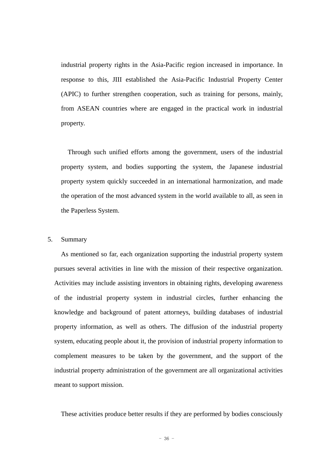industrial property rights in the Asia-Pacific region increased in importance. In response to this, JIII established the Asia-Pacific Industrial Property Center (APIC) to further strengthen cooperation, such as training for persons, mainly, from ASEAN countries where are engaged in the practical work in industrial property.

Through such unified efforts among the government, users of the industrial property system, and bodies supporting the system, the Japanese industrial property system quickly succeeded in an international harmonization, and made the operation of the most advanced system in the world available to all, as seen in the Paperless System.

#### 5. Summary

As mentioned so far, each organization supporting the industrial property system pursues several activities in line with the mission of their respective organization. Activities may include assisting inventors in obtaining rights, developing awareness of the industrial property system in industrial circles, further enhancing the knowledge and background of patent attorneys, building databases of industrial property information, as well as others. The diffusion of the industrial property system, educating people about it, the provision of industrial property information to complement measures to be taken by the government, and the support of the industrial property administration of the government are all organizational activities meant to support mission.

These activities produce better results if they are performed by bodies consciously